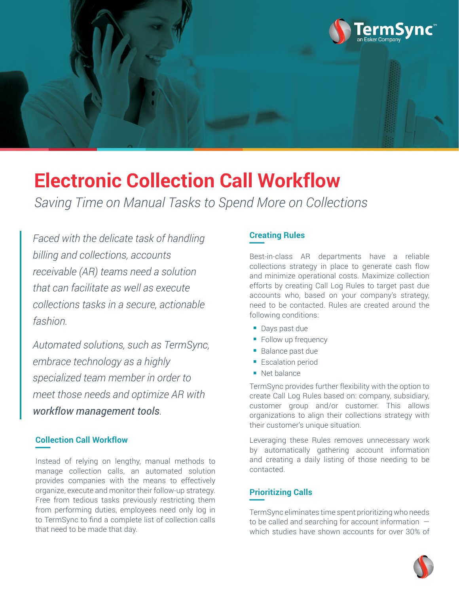

# **Electronic Collection Call Workflow**

*Saving Time on Manual Tasks to Spend More on Collections*

*Faced with the delicate task of handling billing and collections, accounts receivable (AR) teams need a solution that can facilitate as well as execute collections tasks in a secure, actionable fashion.*

*Automated solutions, such as TermSync, embrace technology as a highly specialized team member in order to meet those needs and optimize AR with workflow management tools.*

## **Collection Call Workflow** —

Instead of relying on lengthy, manual methods to manage collection calls, an automated solution provides companies with the means to effectively organize, execute and monitor their follow-up strategy. Free from tedious tasks previously restricting them from performing duties, employees need only log in to TermSync to find a complete list of collection calls that need to be made that day.

#### **Creating Rules** —

Best-in-class AR departments have a reliable collections strategy in place to generate cash flow and minimize operational costs. Maximize collection efforts by creating Call Log Rules to target past due accounts who, based on your company's strategy, need to be contacted. Rules are created around the following conditions:

- **Days past due**
- **Follow up frequency**
- **Balance past due**
- **Escalation period**
- Net balance

TermSync provides further flexibility with the option to create Call Log Rules based on: company, subsidiary, customer group and/or customer. This allows organizations to align their collections strategy with their customer's unique situation.

Leveraging these Rules removes unnecessary work by automatically gathering account information and creating a daily listing of those needing to be contacted.

#### **Prioritizing Calls** —

TermSync eliminates time spent prioritizing who needs to be called and searching for account information which studies have shown accounts for over 30% of